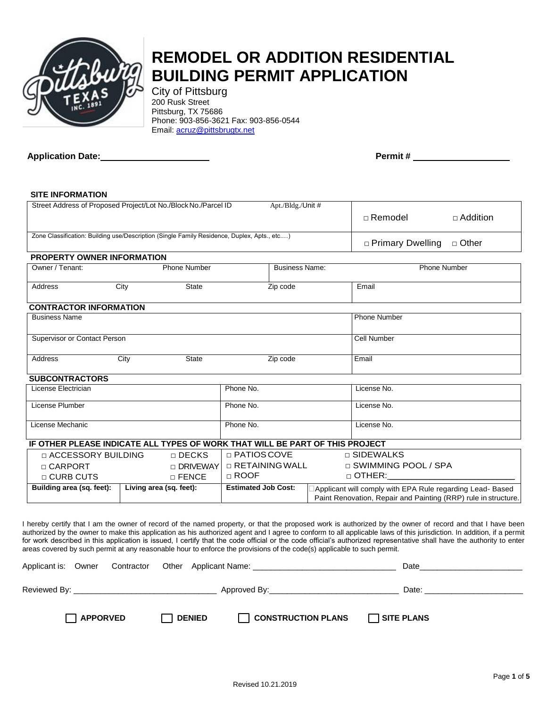

# **REMODEL OR ADDITION RESIDENTIAL BUILDING PERMIT APPLICATION**

City of Pittsburg 200 Rusk Street Pittsburg, TX 75686 Phone: 903-856-3621 Fax: 903-856-0544 Email: [acruz@pittsbrugtx.net](mailto:acruz@pittsbrugtx.net)

**Application Date: Permit #** 2008 2019 2019 2020 2021 2021 2022 2021 2022 2021 2022 2022 2022 2022 2022 2022 2022 2022 2022 2022 2022 2022 2022 2022 2022 2022 2022 2022 2022 2022 2022 2022 2022 2022 2022 2022 2022 2022 2

#### **SITE INFORMATION**

|                                                                              | Street Address of Proposed Project/Lot No./Block No./Parcel ID                              | Apt./Bldg./Unit #                  | $\sqcap$ Remodel<br>$\Box$ Addition                                                                                         |  |  |  |  |  |
|------------------------------------------------------------------------------|---------------------------------------------------------------------------------------------|------------------------------------|-----------------------------------------------------------------------------------------------------------------------------|--|--|--|--|--|
|                                                                              | Zone Classification: Building use/Description (Single Family Residence, Duplex, Apts., etc) | $\Box$ Primary Dwelling<br>□ Other |                                                                                                                             |  |  |  |  |  |
| <b>PROPERTY OWNER INFORMATION</b>                                            |                                                                                             |                                    |                                                                                                                             |  |  |  |  |  |
| Owner / Tenant:                                                              | <b>Phone Number</b>                                                                         | <b>Business Name:</b>              | <b>Phone Number</b>                                                                                                         |  |  |  |  |  |
| Address                                                                      | City<br><b>State</b>                                                                        | Zip code                           | Email                                                                                                                       |  |  |  |  |  |
| <b>CONTRACTOR INFORMATION</b>                                                |                                                                                             |                                    |                                                                                                                             |  |  |  |  |  |
| <b>Business Name</b>                                                         |                                                                                             |                                    | <b>Phone Number</b>                                                                                                         |  |  |  |  |  |
| <b>Supervisor or Contact Person</b>                                          |                                                                                             |                                    | Cell Number                                                                                                                 |  |  |  |  |  |
| Address                                                                      | City<br><b>State</b>                                                                        | Zip code                           | Email                                                                                                                       |  |  |  |  |  |
| <b>SUBCONTRACTORS</b>                                                        |                                                                                             |                                    |                                                                                                                             |  |  |  |  |  |
| License Electrician                                                          |                                                                                             | Phone No.                          | License No.                                                                                                                 |  |  |  |  |  |
| License Plumber                                                              |                                                                                             | Phone No.                          | License No.                                                                                                                 |  |  |  |  |  |
| License Mechanic                                                             |                                                                                             | Phone No.                          | License No.                                                                                                                 |  |  |  |  |  |
| IF OTHER PLEASE INDICATE ALL TYPES OF WORK THAT WILL BE PART OF THIS PROJECT |                                                                                             |                                    |                                                                                                                             |  |  |  |  |  |
| □ ACCESSORY BUILDING                                                         | $\sqcap$ DECKS                                                                              | $\Box$ PATIOS COVE                 | $\Box$ SIDEWALKS                                                                                                            |  |  |  |  |  |
| □ CARPORT                                                                    | $\sqcap$ DRIVEWAY                                                                           | $\Box$ RETAINING WALL              | $\sqcap$ SWIMMING POOL / SPA                                                                                                |  |  |  |  |  |
| $\sqcap$ CURB CUTS                                                           | $\sqcap$ FENCE                                                                              | $\Box$ ROOF                        | $\Box$ OTHER: $\Box$                                                                                                        |  |  |  |  |  |
| Building area (sq. feet):                                                    | Living area (sq. feet):                                                                     | <b>Estimated Job Cost:</b>         | Applicant will comply with EPA Rule regarding Lead- Based<br>Paint Renovation, Repair and Painting (RRP) rule in structure. |  |  |  |  |  |

I hereby certify that I am the owner of record of the named property, or that the proposed work is authorized by the owner of record and that I have been authorized by the owner to make this application as his authorized agent and I agree to conform to all applicable laws of this jurisdiction. In addition, if a permit for work described in this application is issued, I certify that the code official or the code official's authorized representative shall have the authority to enter areas covered by such permit at any reasonable hour to enforce the provisions of the code(s) applicable to such permit.

|                                                                                                                                                                                                                                |               | Applicant is: Owner Contractor Other Applicant Name: ___________________________ | Date              |
|--------------------------------------------------------------------------------------------------------------------------------------------------------------------------------------------------------------------------------|---------------|----------------------------------------------------------------------------------|-------------------|
| Reviewed By: New York Street Assembly the Contract of the Contract of the Contract of the Contract of the Contract of the Contract of the Contract of the Contract of the Contract of the Contract of the Contract of the Cont |               |                                                                                  | Date:             |
|                                                                                                                                                                                                                                |               |                                                                                  |                   |
| $\sqcap$ apporved                                                                                                                                                                                                              | <b>DENIED</b> | <b>CONSTRUCTION PLANS</b>                                                        | $\Box$ SITE PLANS |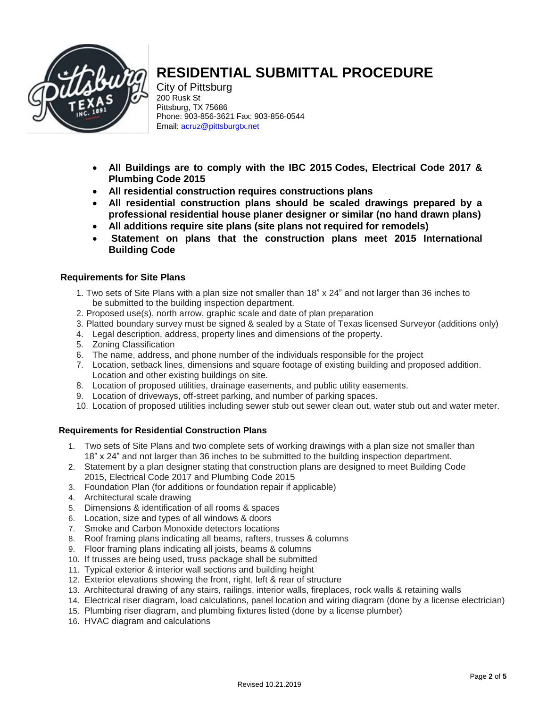

## **RESIDENTIAL SUBMITTAL PROCEDURE**

City of Pittsburg 200 Rusk St Pittsburg, TX 75686 Phone: 903-856-3621 Fax: 903-856-0544 Email[: acruz@pittsburgtx.net](mailto:acruz@pittsburgtx.net)

- **All Buildings are to comply with the IBC 2015 Codes, Electrical Code 2017 & Plumbing Code 2015**
- **All residential construction requires constructions plans**
- **All residential construction plans should be scaled drawings prepared by a professional residential house planer designer or similar (no hand drawn plans)**
- **All additions require site plans (site plans not required for remodels)**
- **Statement on plans that the construction plans meet 2015 International Building Code**

### **Requirements for Site Plans**

- 1. Two sets of Site Plans with a plan size not smaller than 18" x 24" and not larger than 36 inches to be submitted to the building inspection department.
- 2. Proposed use(s), north arrow, graphic scale and date of plan preparation
- 3. Platted boundary survey must be signed & sealed by a State of Texas licensed Surveyor (additions only)
- 4. Legal description, address, property lines and dimensions of the property.
- 5. Zoning Classification
- 6. The name, address, and phone number of the individuals responsible for the project
- 7. Location, setback lines, dimensions and square footage of existing building and proposed addition. Location and other existing buildings on site.
- 8. Location of proposed utilities, drainage easements, and public utility easements.
- 9. Location of driveways, off-street parking, and number of parking spaces.
- 10. Location of proposed utilities including sewer stub out sewer clean out, water stub out and water meter.

### **Requirements for Residential Construction Plans**

- 1. Two sets of Site Plans and two complete sets of working drawings with a plan size not smaller than 18" x 24" and not larger than 36 inches to be submitted to the building inspection department.
- 2. Statement by a plan designer stating that construction plans are designed to meet Building Code 2015, Electrical Code 2017 and Plumbing Code 2015
- 3. Foundation Plan (for additions or foundation repair if applicable)
- 4. Architectural scale drawing
- 5. Dimensions & identification of all rooms & spaces
- 6. Location, size and types of all windows & doors
- 7. Smoke and Carbon Monoxide detectors locations
- 8. Roof framing plans indicating all beams, rafters, trusses & columns
- 9. Floor framing plans indicating all joists, beams & columns
- 10. If trusses are being used, truss package shall be submitted
- 11. Typical exterior & interior wall sections and building height
- 12. Exterior elevations showing the front, right, left & rear of structure
- 13. Architectural drawing of any stairs, railings, interior walls, fireplaces, rock walls & retaining walls
- 14. Electrical riser diagram, load calculations, panel location and wiring diagram (done by a license electrician)
- 15. Plumbing riser diagram, and plumbing fixtures listed (done by a license plumber)
- 16. HVAC diagram and calculations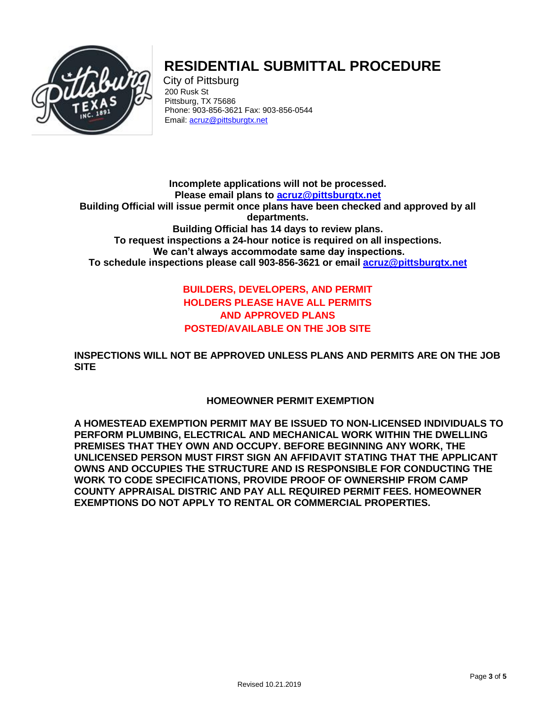

# **RESIDENTIAL SUBMITTAL PROCEDURE**

City of Pittsburg 200 Rusk St Pittsburg, TX 75686 Phone: 903-856-3621 Fax: 903-856-0544 Email: [acruz@pittsburgtx.net](mailto:acruz@pittsburgtx.net)

**Incomplete applications will not be processed. Please email plans to<acruz@pittsburgtx.net> Building Official will issue permit once plans have been checked and approved by all departments. Building Official has 14 days to review plans. To request inspections a 24-hour notice is required on all inspections. We can't always accommodate same day inspections. To schedule inspections please call 903-856-3621 or email [acruz@pittsburgtx.net](mailto:acruz@pittsburgtx.net)**

## **BUILDERS, DEVELOPERS, AND PERMIT HOLDERS PLEASE HAVE ALL PERMITS AND APPROVED PLANS POSTED/AVAILABLE ON THE JOB SITE**

**INSPECTIONS WILL NOT BE APPROVED UNLESS PLANS AND PERMITS ARE ON THE JOB SITE**

## **HOMEOWNER PERMIT EXEMPTION**

**A HOMESTEAD EXEMPTION PERMIT MAY BE ISSUED TO NON-LICENSED INDIVIDUALS TO PERFORM PLUMBING, ELECTRICAL AND MECHANICAL WORK WITHIN THE DWELLING PREMISES THAT THEY OWN AND OCCUPY. BEFORE BEGINNING ANY WORK, THE UNLICENSED PERSON MUST FIRST SIGN AN AFFIDAVIT STATING THAT THE APPLICANT OWNS AND OCCUPIES THE STRUCTURE AND IS RESPONSIBLE FOR CONDUCTING THE WORK TO CODE SPECIFICATIONS, PROVIDE PROOF OF OWNERSHIP FROM CAMP COUNTY APPRAISAL DISTRIC AND PAY ALL REQUIRED PERMIT FEES. HOMEOWNER EXEMPTIONS DO NOT APPLY TO RENTAL OR COMMERCIAL PROPERTIES.**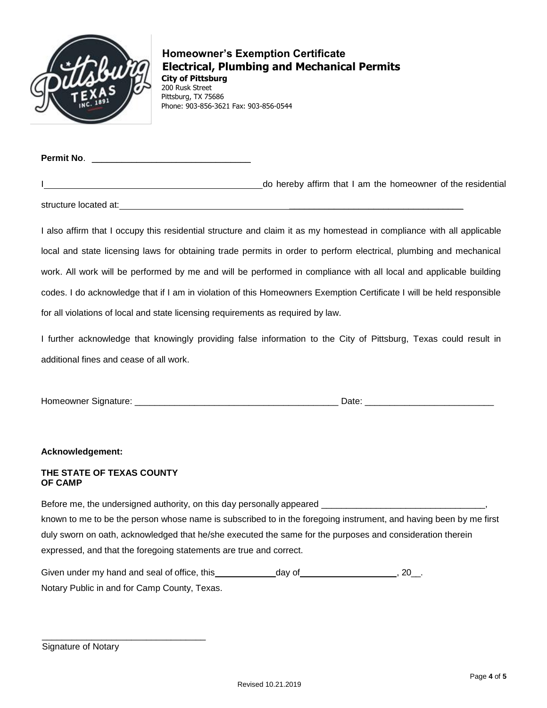

### **Homeowner's Exemption Certificate Electrical, Plumbing and Mechanical Permits City of Pittsburg** 200 Rusk Street Pittsburg, TX 75686

Phone: 903-856-3621 Fax: 903-856-0544

**Permit No**. \_\_\_\_\_\_\_\_\_\_\_\_\_\_\_\_\_\_\_\_\_\_\_\_\_\_\_\_\_\_\_\_

do hereby affirm that I am the homeowner of the residential

structure located at:  $\blacksquare$ 

I also affirm that I occupy this residential structure and claim it as my homestead in compliance with all applicable local and state licensing laws for obtaining trade permits in order to perform electrical, plumbing and mechanical work. All work will be performed by me and will be performed in compliance with all local and applicable building codes. I do acknowledge that if I am in violation of this Homeowners Exemption Certificate I will be held responsible for all violations of local and state licensing requirements as required by law.

I further acknowledge that knowingly providing false information to the City of Pittsburg, Texas could result in additional fines and cease of all work.

| Homeowner Signature: |  |
|----------------------|--|
|                      |  |

Homeowner Signature: \_\_\_\_\_\_\_\_\_\_\_\_\_\_\_\_\_\_\_\_\_\_\_\_\_\_\_\_\_\_\_\_\_\_\_\_\_\_\_\_\_ Date: \_\_\_\_\_\_\_\_\_\_\_\_\_\_\_\_\_\_\_\_\_\_\_\_\_\_

**Acknowledgement:**

### **THE STATE OF TEXAS COUNTY OF CAMP**

 $\overline{\phantom{a}}$  , which is a set of the set of the set of the set of the set of the set of the set of the set of the set of the set of the set of the set of the set of the set of the set of the set of the set of the set of th

Before me, the undersigned authority, on this day personally appeared known to me to be the person whose name is subscribed to in the foregoing instrument, and having been by me first duly sworn on oath, acknowledged that he/she executed the same for the purposes and consideration therein expressed, and that the foregoing statements are true and correct.

| Given under my hand and seal of office, this | day of | 20. |
|----------------------------------------------|--------|-----|
| Notary Public in and for Camp County, Texas. |        |     |